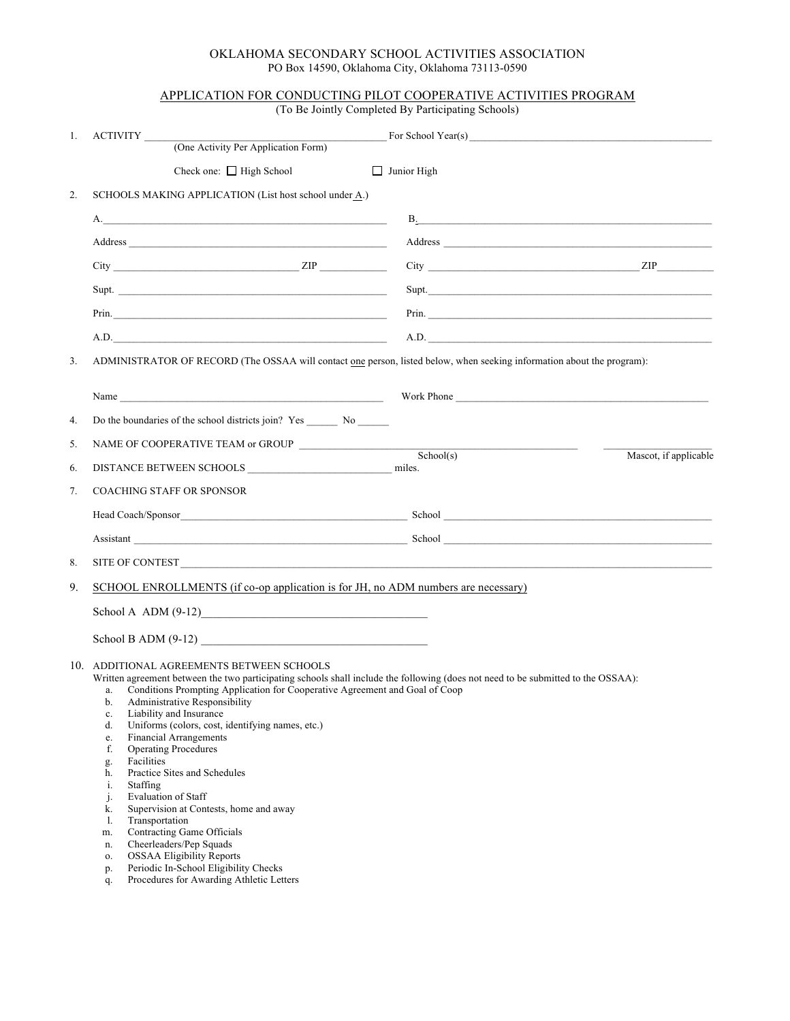## OKLAHOMA SECONDARY SCHOOL ACTIVITIES ASSOCIATION PO Box 14590, Oklahoma City, Oklahoma 73113-0590

## APPLICATION FOR CONDUCTING PILOT COOPERATIVE ACTIVITIES PROGRAM

(To Be Jointly Completed By Participating Schools)

| 1.             | ACTIVITY                                                                                                                                                                                                                                                                                                                                                                                                                                                                                                                                                                                                                                                                                                                                                                                                                          | For School Year(s)                                                                 |
|----------------|-----------------------------------------------------------------------------------------------------------------------------------------------------------------------------------------------------------------------------------------------------------------------------------------------------------------------------------------------------------------------------------------------------------------------------------------------------------------------------------------------------------------------------------------------------------------------------------------------------------------------------------------------------------------------------------------------------------------------------------------------------------------------------------------------------------------------------------|------------------------------------------------------------------------------------|
|                | (One Activity Per Application Form)                                                                                                                                                                                                                                                                                                                                                                                                                                                                                                                                                                                                                                                                                                                                                                                               |                                                                                    |
|                | Check one: $\Box$ High School                                                                                                                                                                                                                                                                                                                                                                                                                                                                                                                                                                                                                                                                                                                                                                                                     | $\Box$ Junior High                                                                 |
| 2.             | SCHOOLS MAKING APPLICATION (List host school under A.)                                                                                                                                                                                                                                                                                                                                                                                                                                                                                                                                                                                                                                                                                                                                                                            |                                                                                    |
|                |                                                                                                                                                                                                                                                                                                                                                                                                                                                                                                                                                                                                                                                                                                                                                                                                                                   | <b>B</b> .                                                                         |
|                |                                                                                                                                                                                                                                                                                                                                                                                                                                                                                                                                                                                                                                                                                                                                                                                                                                   |                                                                                    |
|                | $City$ $ZIP$ $ZIP$                                                                                                                                                                                                                                                                                                                                                                                                                                                                                                                                                                                                                                                                                                                                                                                                                | $City$ $\qquad \qquad \qquad \qquad \qquad \qquad \qquad \qquad \qquad \text{ZIP}$ |
|                | Supt.                                                                                                                                                                                                                                                                                                                                                                                                                                                                                                                                                                                                                                                                                                                                                                                                                             | Supt.                                                                              |
|                | Prin.                                                                                                                                                                                                                                                                                                                                                                                                                                                                                                                                                                                                                                                                                                                                                                                                                             |                                                                                    |
|                | A.D.                                                                                                                                                                                                                                                                                                                                                                                                                                                                                                                                                                                                                                                                                                                                                                                                                              | A.D.                                                                               |
| 3 <sub>1</sub> | ADMINISTRATOR OF RECORD (The OSSAA will contact one person, listed below, when seeking information about the program):                                                                                                                                                                                                                                                                                                                                                                                                                                                                                                                                                                                                                                                                                                            |                                                                                    |
|                | Name has a series of the series of the series of the series of the series of the series of the series of the series of the series of the series of the series of the series of the series of the series of the series of the s                                                                                                                                                                                                                                                                                                                                                                                                                                                                                                                                                                                                    | Work Phone                                                                         |
| 4.             |                                                                                                                                                                                                                                                                                                                                                                                                                                                                                                                                                                                                                                                                                                                                                                                                                                   |                                                                                    |
| 5.             |                                                                                                                                                                                                                                                                                                                                                                                                                                                                                                                                                                                                                                                                                                                                                                                                                                   | <u> 1989 - Johann Barn, mars eta bainar eta idazlea (</u>                          |
| 6.             |                                                                                                                                                                                                                                                                                                                                                                                                                                                                                                                                                                                                                                                                                                                                                                                                                                   | School(s)<br>Mascot, if applicable<br>miles.                                       |
| 7.             | <b>COACHING STAFF OR SPONSOR</b>                                                                                                                                                                                                                                                                                                                                                                                                                                                                                                                                                                                                                                                                                                                                                                                                  |                                                                                    |
|                |                                                                                                                                                                                                                                                                                                                                                                                                                                                                                                                                                                                                                                                                                                                                                                                                                                   |                                                                                    |
|                |                                                                                                                                                                                                                                                                                                                                                                                                                                                                                                                                                                                                                                                                                                                                                                                                                                   |                                                                                    |
| 8.             |                                                                                                                                                                                                                                                                                                                                                                                                                                                                                                                                                                                                                                                                                                                                                                                                                                   |                                                                                    |
| 9.             | SCHOOL ENROLLMENTS (if co-op application is for JH, no ADM numbers are necessary)<br>School A $ADM(9-12)$                                                                                                                                                                                                                                                                                                                                                                                                                                                                                                                                                                                                                                                                                                                         |                                                                                    |
|                |                                                                                                                                                                                                                                                                                                                                                                                                                                                                                                                                                                                                                                                                                                                                                                                                                                   |                                                                                    |
|                |                                                                                                                                                                                                                                                                                                                                                                                                                                                                                                                                                                                                                                                                                                                                                                                                                                   |                                                                                    |
|                | School B ADM $(9-12)$                                                                                                                                                                                                                                                                                                                                                                                                                                                                                                                                                                                                                                                                                                                                                                                                             |                                                                                    |
|                | 10. ADDITIONAL AGREEMENTS BETWEEN SCHOOLS<br>Written agreement between the two participating schools shall include the following (does not need to be submitted to the OSSAA):<br>a. Conditions Prompting Application for Cooperative Agreement and Goal of Coop<br>b. Administrative Responsibility<br>Liability and Insurance<br>c.<br>Uniforms (colors, cost, identifying names, etc.)<br>d.<br><b>Financial Arrangements</b><br>e.<br><b>Operating Procedures</b><br>f.<br>Facilities<br>g.<br>Practice Sites and Schedules<br>h.<br>Staffing<br>i.<br><b>Evaluation of Staff</b><br>j.<br>Supervision at Contests, home and away<br>k.<br>Transportation<br>1.<br>Contracting Game Officials<br>m.<br>Cheerleaders/Pep Squads<br>n.<br><b>OSSAA Eligibility Reports</b><br>0.<br>Periodic In-School Eligibility Checks<br>p. |                                                                                    |
|                | Procedures for Awarding Athletic Letters<br>q.                                                                                                                                                                                                                                                                                                                                                                                                                                                                                                                                                                                                                                                                                                                                                                                    |                                                                                    |